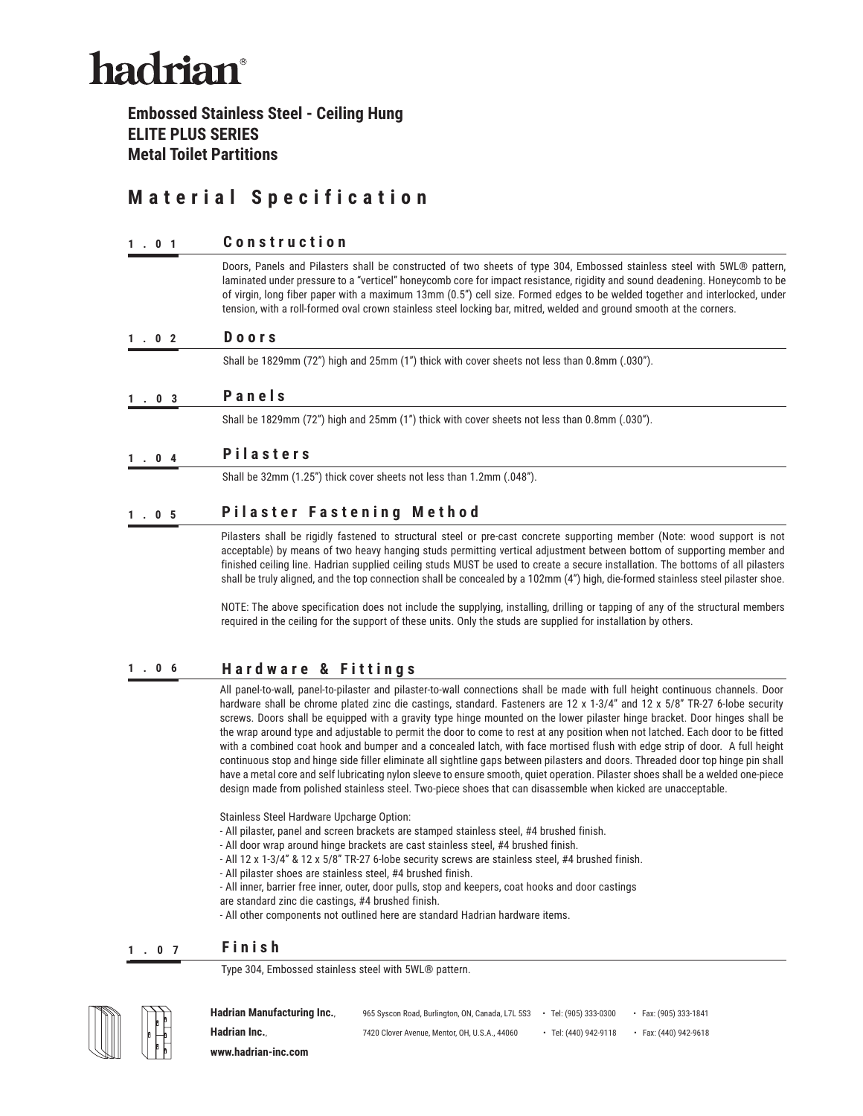# hadrian<sup>®</sup>

**Embossed Stainless Steel - Ceiling Hung ELITE PLUS SERIES Metal Toilet Partitions**

## **Material Specification**

#### **1.01 Construction**

Doors, Panels and Pilasters shall be constructed of two sheets of type 304, Embossed stainless steel with 5WL® pattern, laminated under pressure to a "verticel" honeycomb core for impact resistance, rigidity and sound deadening. Honeycomb to be of virgin, long fiber paper with a maximum 13mm (0.5") cell size. Formed edges to be welded together and interlocked, under tension, with a roll-formed oval crown stainless steel locking bar, mitred, welded and ground smooth at the corners.

#### **1.02 Doors**

Shall be 1829mm (72") high and 25mm (1") thick with cover sheets not less than 0.8mm (.030").

### **1.03 Panels**

Shall be 1829mm (72") high and 25mm (1") thick with cover sheets not less than 0.8mm (.030").

### **1.04 Pilasters**

Shall be 32mm (1.25") thick cover sheets not less than 1.2mm (.048").

### **1.05 P i l a s t e r F a s t e n i n g M e t h o d**

Pilasters shall be rigidly fastened to structural steel or pre-cast concrete supporting member (Note: wood support is not acceptable) by means of two heavy hanging studs permitting vertical adjustment between bottom of supporting member and finished ceiling line. Hadrian supplied ceiling studs MUST be used to create a secure installation. The bottoms of all pilasters shall be truly aligned, and the top connection shall be concealed by a 102mm (4") high, die-formed stainless steel pilaster shoe.

NOTE: The above specification does not include the supplying, installing, drilling or tapping of any of the structural members required in the ceiling for the support of these units. Only the studs are supplied for installation by others.

#### **1.06 Hardware & Fittings**

All panel-to-wall, panel-to-pilaster and pilaster-to-wall connections shall be made with full height continuous channels. Door hardware shall be chrome plated zinc die castings, standard. Fasteners are 12 x 1-3/4" and 12 x 5/8" TR-27 6-lobe security screws. Doors shall be equipped with a gravity type hinge mounted on the lower pilaster hinge bracket. Door hinges shall be the wrap around type and adjustable to permit the door to come to rest at any position when not latched. Each door to be fitted with a combined coat hook and bumper and a concealed latch, with face mortised flush with edge strip of door. A full height continuous stop and hinge side filler eliminate all sightline gaps between pilasters and doors. Threaded door top hinge pin shall have a metal core and self lubricating nylon sleeve to ensure smooth, quiet operation. Pilaster shoes shall be a welded one-piece design made from polished stainless steel. Two-piece shoes that can disassemble when kicked are unacceptable.

Stainless Steel Hardware Upcharge Option:

- All pilaster, panel and screen brackets are stamped stainless steel, #4 brushed finish.
- All door wrap around hinge brackets are cast stainless steel, #4 brushed finish.
- All 12 x 1-3/4" & 12 x 5/8" TR-27 6-lobe security screws are stainless steel, #4 brushed finish.
- All pilaster shoes are stainless steel, #4 brushed finish.
- All inner, barrier free inner, outer, door pulls, stop and keepers, coat hooks and door castings
- are standard zinc die castings, #4 brushed finish.
- All other components not outlined here are standard Hadrian hardware items.

#### **1.07 Finish**

Type 304, Embossed stainless steel with 5WL® pattern.



Hadrian Manufacturing Inc., 965 Syscon Road, Burlington, ON, Canada, L7L 5S3 • Tel: (905) 333-0300 • Fax: (905) 333-1841 **Hadrian Inc.**, **7420 Clover Avenue, Mentor, OH, U.S.A., 44060** • Tel: (440) 942-9118 • Fax: (440) 942-9618 **www.hadrian-inc.com**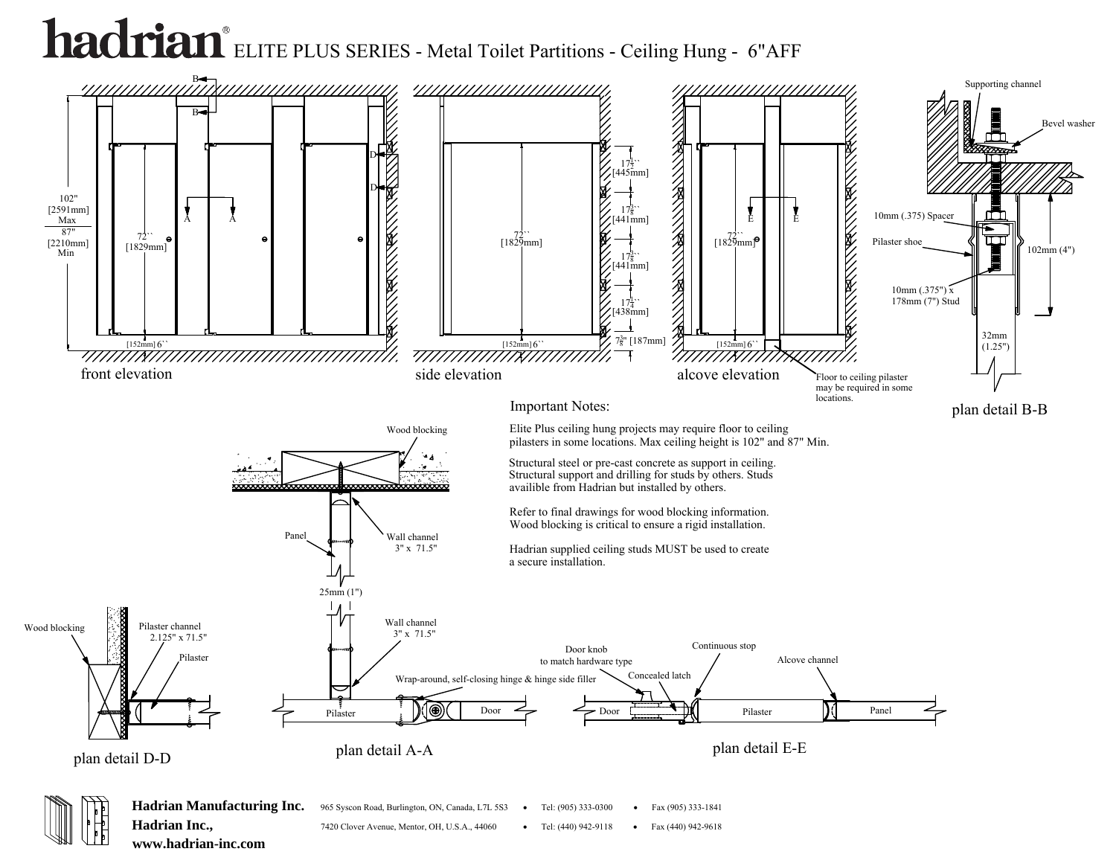